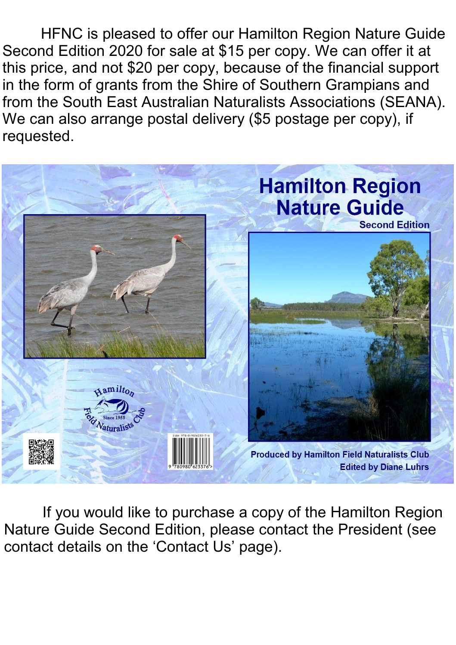HFNC is pleased to offer our Hamilton Region Nature Guide Second Edition 2020 for sale at \$15 per copy. We can offer it at this price, and not \$20 per copy, because of the financial support in the form of grants from the Shire of Southern Grampians and from the South East Australian Naturalists Associations (SEANA). We can also arrange postal delivery (\$5 postage per copy), if requested.



If you would like to purchase a copy of the Hamilton Region Nature Guide Second Edition, please contact the President (see contact details on the 'Contact Us' page).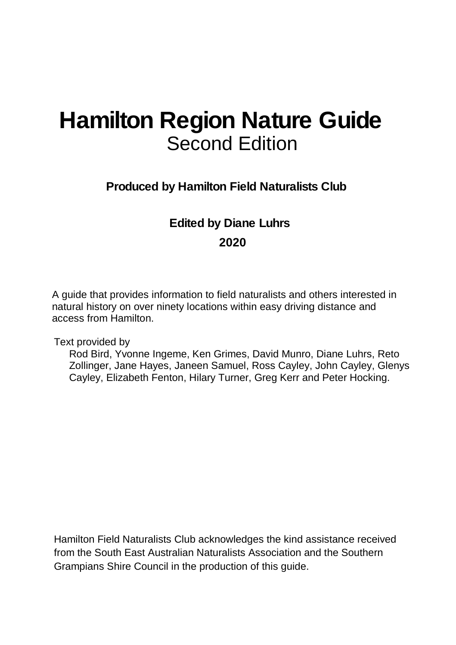## **Hamilton Region Nature Guide**  Second Edition

**Produced by Hamilton Field Naturalists Club** 

## **Edited by Diane Luhrs 2020**

A guide that provides information to field naturalists and others interested in natural history on over ninety locations within easy driving distance and access from Hamilton.

Text provided by

Rod Bird, Yvonne Ingeme, Ken Grimes, David Munro, Diane Luhrs, Reto Zollinger, Jane Hayes, Janeen Samuel, Ross Cayley, John Cayley, Glenys Cayley, Elizabeth Fenton, Hilary Turner, Greg Kerr and Peter Hocking.

Hamilton Field Naturalists Club acknowledges the kind assistance received from the South East Australian Naturalists Association and the Southern Grampians Shire Council in the production of this guide.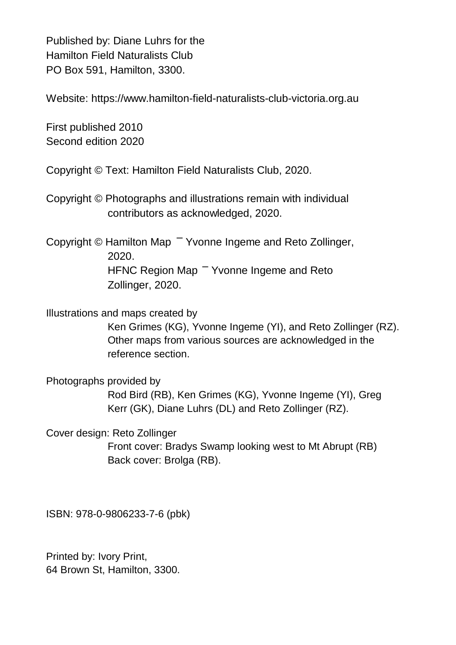Published by: Diane Luhrs for the Hamilton Field Naturalists Club PO Box 591, Hamilton, 3300.

Website: [https://www.hamilton-field-naturalists-club-victoria.org.au](https://www.hamilton-field-naturalists-club-victoria.org.au/)

First published 2010 Second edition 2020

Copyright © Text: Hamilton Field Naturalists Club, 2020.

Copyright © Photographs and illustrations remain with individual contributors as acknowledged, 2020.

Copyright © Hamilton Map – Yvonne Ingeme and Reto Zollinger, 2020. HFNC Region Map <sup>-</sup> Yvonne Ingeme and Reto Zollinger, 2020.

Illustrations and maps created by

Ken Grimes (KG), Yvonne Ingeme (YI), and Reto Zollinger (RZ). Other maps from various sources are acknowledged in the reference section.

Photographs provided by Rod Bird (RB), Ken Grimes (KG), Yvonne Ingeme (YI), Greg Kerr (GK), Diane Luhrs (DL) and Reto Zollinger (RZ).

Cover design: Reto Zollinger Front cover: Bradys Swamp looking west to Mt Abrupt (RB) Back cover: Brolga (RB).

ISBN: 978-0-9806233-7-6 (pbk)

Printed by: Ivory Print, 64 Brown St, Hamilton, 3300.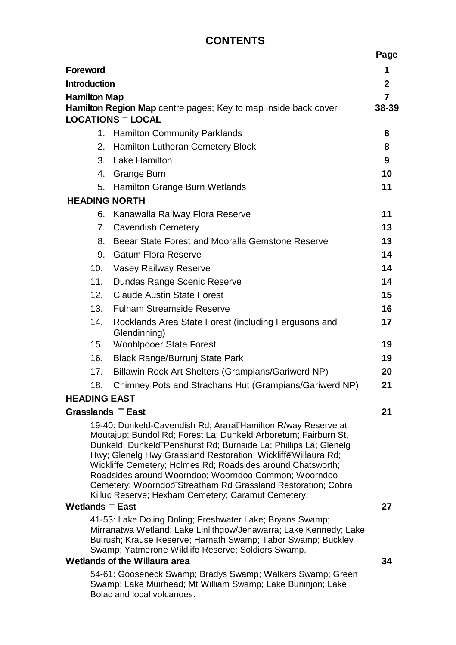## **CONTENTS**

|                                                                                                                                                                                                                                                                                                                                                                                                                                                                                                                    |                                                                                                                                                                                                                                                      | Page  |
|--------------------------------------------------------------------------------------------------------------------------------------------------------------------------------------------------------------------------------------------------------------------------------------------------------------------------------------------------------------------------------------------------------------------------------------------------------------------------------------------------------------------|------------------------------------------------------------------------------------------------------------------------------------------------------------------------------------------------------------------------------------------------------|-------|
| Foreword                                                                                                                                                                                                                                                                                                                                                                                                                                                                                                           |                                                                                                                                                                                                                                                      | 1     |
| <b>Introduction</b>                                                                                                                                                                                                                                                                                                                                                                                                                                                                                                |                                                                                                                                                                                                                                                      | 2     |
| <b>Hamilton Map</b>                                                                                                                                                                                                                                                                                                                                                                                                                                                                                                |                                                                                                                                                                                                                                                      |       |
| Hamilton Region Map centre pages; Key to map inside back cover<br><b>LOCATIONS - LOCAL</b>                                                                                                                                                                                                                                                                                                                                                                                                                         |                                                                                                                                                                                                                                                      | 38-39 |
|                                                                                                                                                                                                                                                                                                                                                                                                                                                                                                                    | 1. Hamilton Community Parklands                                                                                                                                                                                                                      | 8     |
| 2.                                                                                                                                                                                                                                                                                                                                                                                                                                                                                                                 | Hamilton Lutheran Cemetery Block                                                                                                                                                                                                                     | 8     |
|                                                                                                                                                                                                                                                                                                                                                                                                                                                                                                                    | 3. Lake Hamilton                                                                                                                                                                                                                                     | 9     |
|                                                                                                                                                                                                                                                                                                                                                                                                                                                                                                                    | 4. Grange Burn                                                                                                                                                                                                                                       | 10    |
|                                                                                                                                                                                                                                                                                                                                                                                                                                                                                                                    | 5. Hamilton Grange Burn Wetlands                                                                                                                                                                                                                     | 11    |
| <b>HEADING NORTH</b>                                                                                                                                                                                                                                                                                                                                                                                                                                                                                               |                                                                                                                                                                                                                                                      |       |
|                                                                                                                                                                                                                                                                                                                                                                                                                                                                                                                    | 6. Kanawalla Railway Flora Reserve                                                                                                                                                                                                                   | 11    |
|                                                                                                                                                                                                                                                                                                                                                                                                                                                                                                                    | 7. Cavendish Cemetery                                                                                                                                                                                                                                | 13    |
| 8.                                                                                                                                                                                                                                                                                                                                                                                                                                                                                                                 | Beear State Forest and Mooralla Gemstone Reserve                                                                                                                                                                                                     | 13    |
| 9.                                                                                                                                                                                                                                                                                                                                                                                                                                                                                                                 | <b>Gatum Flora Reserve</b>                                                                                                                                                                                                                           | 14    |
| 10.                                                                                                                                                                                                                                                                                                                                                                                                                                                                                                                | Vasey Railway Reserve                                                                                                                                                                                                                                | 14    |
| 11.                                                                                                                                                                                                                                                                                                                                                                                                                                                                                                                | Dundas Range Scenic Reserve                                                                                                                                                                                                                          | 14    |
| 12 <sub>1</sub>                                                                                                                                                                                                                                                                                                                                                                                                                                                                                                    | <b>Claude Austin State Forest</b>                                                                                                                                                                                                                    | 15    |
| 13.                                                                                                                                                                                                                                                                                                                                                                                                                                                                                                                | <b>Fulham Streamside Reserve</b>                                                                                                                                                                                                                     | 16    |
| 14.                                                                                                                                                                                                                                                                                                                                                                                                                                                                                                                | Rocklands Area State Forest (including Fergusons and<br>Glendinning)                                                                                                                                                                                 | 17    |
| 15.                                                                                                                                                                                                                                                                                                                                                                                                                                                                                                                | <b>Woohlpooer State Forest</b>                                                                                                                                                                                                                       | 19    |
| 16.                                                                                                                                                                                                                                                                                                                                                                                                                                                                                                                | Black Range/Burrunj State Park                                                                                                                                                                                                                       | 19    |
| 17.                                                                                                                                                                                                                                                                                                                                                                                                                                                                                                                | Billawin Rock Art Shelters (Grampians/Gariwerd NP)                                                                                                                                                                                                   | 20    |
| 18.                                                                                                                                                                                                                                                                                                                                                                                                                                                                                                                | Chimney Pots and Strachans Hut (Grampians/Gariwerd NP)                                                                                                                                                                                               | 21    |
| <b>HEADING EAST</b>                                                                                                                                                                                                                                                                                                                                                                                                                                                                                                |                                                                                                                                                                                                                                                      |       |
| Grasslands <sup>-</sup> East                                                                                                                                                                                                                                                                                                                                                                                                                                                                                       |                                                                                                                                                                                                                                                      | 21    |
| 19-40: Dunkeld-Cavendish Rd; AraraTHamilton R/way Reserve at<br>Moutajup; Bundol Rd; Forest La: Dunkeld Arboretum; Fairburn St,<br>Dunkeld; Dunkeld Penshurst Rd; Burnside La; Phillips La; Glenelg<br>Hwy; Glenelg Hwy Grassland Restoration; Wickliffe Willaura Rd;<br>Wickliffe Cemetery; Holmes Rd; Roadsides around Chatsworth;<br>Roadsides around Woorndoo; Woorndoo Common; Woorndoo<br>Cemetery; Woorndoo Streatham Rd Grassland Restoration; Cobra<br>Killuc Reserve; Hexham Cemetery; Caramut Cemetery. |                                                                                                                                                                                                                                                      |       |
|                                                                                                                                                                                                                                                                                                                                                                                                                                                                                                                    | Wetlands <sup>-</sup> East                                                                                                                                                                                                                           |       |
|                                                                                                                                                                                                                                                                                                                                                                                                                                                                                                                    | 41-53: Lake Doling Doling; Freshwater Lake; Bryans Swamp;<br>Mirranatwa Wetland; Lake Linlithgow/Jenawarra; Lake Kennedy; Lake<br>Bulrush; Krause Reserve; Harnath Swamp; Tabor Swamp; Buckley<br>Swamp; Yatmerone Wildlife Reserve; Soldiers Swamp. |       |
| Wetlands of the Willaura area                                                                                                                                                                                                                                                                                                                                                                                                                                                                                      |                                                                                                                                                                                                                                                      | 34    |
| 54-61: Gooseneck Swamp; Bradys Swamp; Walkers Swamp; Green<br>Swamp; Lake Muirhead; Mt William Swamp; Lake Buninjon; Lake<br>Bolac and local volcanoes.                                                                                                                                                                                                                                                                                                                                                            |                                                                                                                                                                                                                                                      |       |